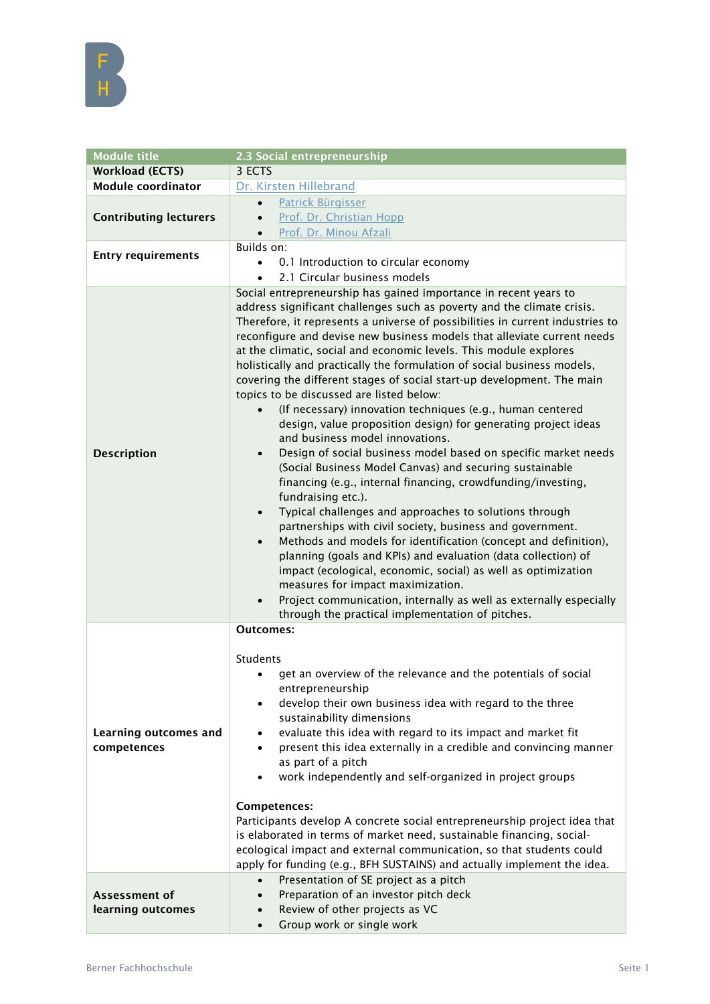

| <b>Module title</b>                         | 2.3 Social entrepreneurship                                                                                                                                                                                                                                                                                                                                                                                                                                                                                                                                                                                                                                                                                                                                                                                                                                                                                                                                                                                                                                                                                                                                                                                                                                                                                                                                                                                                                                                                          |
|---------------------------------------------|------------------------------------------------------------------------------------------------------------------------------------------------------------------------------------------------------------------------------------------------------------------------------------------------------------------------------------------------------------------------------------------------------------------------------------------------------------------------------------------------------------------------------------------------------------------------------------------------------------------------------------------------------------------------------------------------------------------------------------------------------------------------------------------------------------------------------------------------------------------------------------------------------------------------------------------------------------------------------------------------------------------------------------------------------------------------------------------------------------------------------------------------------------------------------------------------------------------------------------------------------------------------------------------------------------------------------------------------------------------------------------------------------------------------------------------------------------------------------------------------------|
| <b>Workload (ECTS)</b>                      | 3 ECTS                                                                                                                                                                                                                                                                                                                                                                                                                                                                                                                                                                                                                                                                                                                                                                                                                                                                                                                                                                                                                                                                                                                                                                                                                                                                                                                                                                                                                                                                                               |
| <b>Module coordinator</b>                   | Dr. Kirsten Hillebrand                                                                                                                                                                                                                                                                                                                                                                                                                                                                                                                                                                                                                                                                                                                                                                                                                                                                                                                                                                                                                                                                                                                                                                                                                                                                                                                                                                                                                                                                               |
| <b>Contributing lecturers</b>               | Patrick Bürgisser<br>$\bullet$<br>Prof. Dr. Christian Hopp<br>$\bullet$<br>Prof. Dr. Minou Afzali                                                                                                                                                                                                                                                                                                                                                                                                                                                                                                                                                                                                                                                                                                                                                                                                                                                                                                                                                                                                                                                                                                                                                                                                                                                                                                                                                                                                    |
| <b>Entry requirements</b>                   | Builds on:<br>0.1 Introduction to circular economy<br>$\bullet$<br>2.1 Circular business models<br>$\bullet$                                                                                                                                                                                                                                                                                                                                                                                                                                                                                                                                                                                                                                                                                                                                                                                                                                                                                                                                                                                                                                                                                                                                                                                                                                                                                                                                                                                         |
| <b>Description</b>                          | Social entrepreneurship has gained importance in recent years to<br>address significant challenges such as poverty and the climate crisis.<br>Therefore, it represents a universe of possibilities in current industries to<br>reconfigure and devise new business models that alleviate current needs<br>at the climatic, social and economic levels. This module explores<br>holistically and practically the formulation of social business models,<br>covering the different stages of social start-up development. The main<br>topics to be discussed are listed below:<br>(If necessary) innovation techniques (e.g., human centered<br>design, value proposition design) for generating project ideas<br>and business model innovations.<br>Design of social business model based on specific market needs<br>(Social Business Model Canvas) and securing sustainable<br>financing (e.g., internal financing, crowdfunding/investing,<br>fundraising etc.).<br>Typical challenges and approaches to solutions through<br>$\bullet$<br>partnerships with civil society, business and government.<br>Methods and models for identification (concept and definition),<br>$\bullet$<br>planning (goals and KPIs) and evaluation (data collection) of<br>impact (ecological, economic, social) as well as optimization<br>measures for impact maximization.<br>Project communication, internally as well as externally especially<br>$\bullet$<br>through the practical implementation of pitches. |
| <b>Learning outcomes and</b><br>competences | <b>Outcomes:</b><br><b>Students</b><br>get an overview of the relevance and the potentials of social<br>$\bullet$<br>entrepreneurship<br>develop their own business idea with regard to the three<br>$\bullet$<br>sustainability dimensions<br>evaluate this idea with regard to its impact and market fit<br>٠<br>present this idea externally in a credible and convincing manner<br>$\bullet$<br>as part of a pitch<br>work independently and self-organized in project groups<br>Competences:<br>Participants develop A concrete social entrepreneurship project idea that<br>is elaborated in terms of market need, sustainable financing, social-<br>ecological impact and external communication, so that students could<br>apply for funding (e.g., BFH SUSTAINS) and actually implement the idea.                                                                                                                                                                                                                                                                                                                                                                                                                                                                                                                                                                                                                                                                                           |
| Assessment of<br>learning outcomes          | Presentation of SE project as a pitch<br>$\bullet$<br>Preparation of an investor pitch deck<br>$\bullet$<br>Review of other projects as VC                                                                                                                                                                                                                                                                                                                                                                                                                                                                                                                                                                                                                                                                                                                                                                                                                                                                                                                                                                                                                                                                                                                                                                                                                                                                                                                                                           |
|                                             | Group work or single work<br>$\bullet$                                                                                                                                                                                                                                                                                                                                                                                                                                                                                                                                                                                                                                                                                                                                                                                                                                                                                                                                                                                                                                                                                                                                                                                                                                                                                                                                                                                                                                                               |